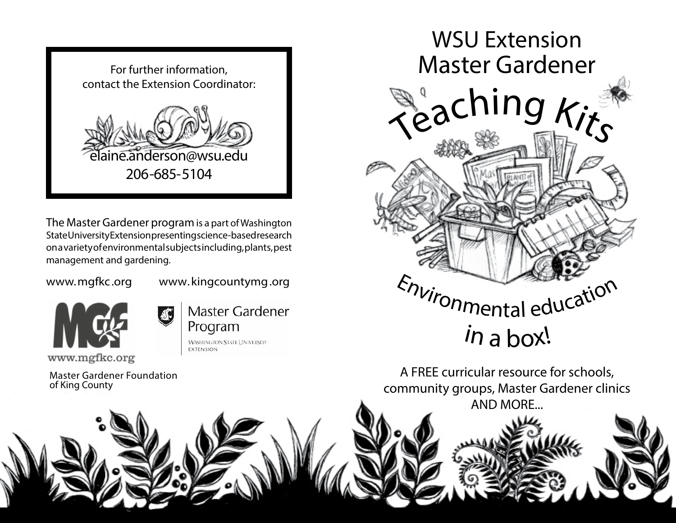

The Master Gardener program is a part of Washington State University Extension presenting science-based research on a variety of environmental subjects including, plants, pest management and gardening.

www.mgfkc.org www.kingcountymg.org



Master Gardener Program **WASHINGTON STATE UNIVERSITY EXTENSION** 

Master Gardener Foundation of King County



A FREE curricular resource for schools, community groups, Master Gardener clinics AND MORE...